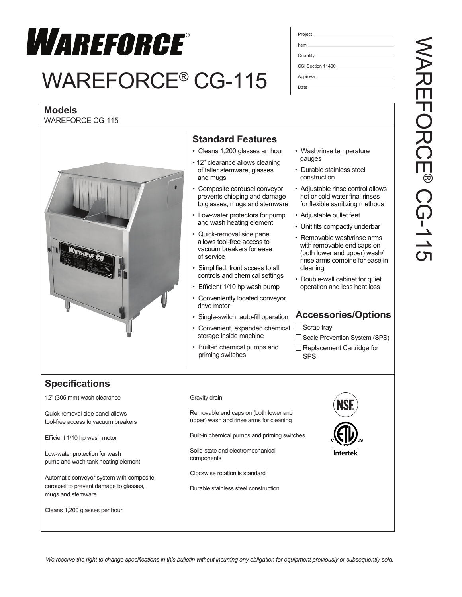

# WAREFORCE® CG-115

| CSI Section 11400 |
|-------------------|
|                   |
|                   |

Date

## **Models**

WAREFORCE CG-115



## **Standard Features**

- Cleans 1,200 glasses an hour
- 12" clearance allows cleaning of taller stemware, glasses and mugs
- Composite carousel conveyor prevents chipping and damage to glasses, mugs and stemware
- Low-water protectors for pump and wash heating element
- Quick-removal side panel allows tool-free access to vacuum breakers for ease of service
- Simplified, front access to all controls and chemical settings
- Efficient 1/10 hp wash pump
- Conveniently located conveyor drive motor
- Single-switch, auto-fill operation
- Convenient, expanded chemical storage inside machine
- Built-in chemical pumps and priming switches
- Wash/rinse temperature gauges
- Durable stainless steel construction
- Adjustable rinse control allows hot or cold water final rinses for flexible sanitizing methods
- Adjustable bullet feet
- Unit fits compactly underbar
- Removable wash/rinse arms with removable end caps on (both lower and upper) wash/ rinse arms combine for ease in cleaning
- Double-wall cabinet for quiet operation and less heat loss

### **Accessories/Options**

 $\Box$  Scrap tray

#### $\Box$  Scale Prevention System (SPS)

 $\Box$  Replacement Cartridge for SPS

# **Specifications**

12" (305 mm) wash clearance

Quick-removal side panel allows tool-free access to vacuum breakers

Efficient 1/10 hp wash motor

Low-water protection for wash pump and wash tank heating element

Automatic conveyor system with composite carousel to prevent damage to glasses, mugs and stemware

Cleans 1,200 glasses per hour

#### Gravity drain

Removable end caps on (both lower and upper) wash and rinse arms for cleaning

Built-in chemical pumps and priming switches

Solid-state and electromechanical components

Clockwise rotation is standard

Durable stainless steel construction